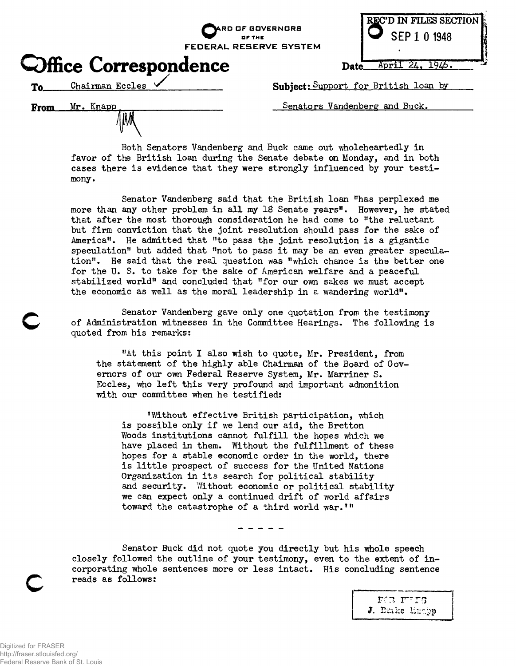**O" OF THE FEDERAL RESERVE SYSTEM**

**kRD OF GOVERNORS**



**Date.** April 24, 1946.

Chairman Eccles V To

Mr. Knapp

From

**Office Correspondence** 

**Subject**: Support for British loan by

Senators Vandenberg and Buck.

Both Senators Vandenberg and Buck came out wholeheartedly in favor of the British loan during the Senate debate on Monday, and in both cases there is evidence that they were strongly influenced by your testimony.

Senator Vandenberg said that the British loan "has perplexed me more than any other problem in all my 18 Senate years". However, he stated that after the most thorough consideration he had come to "the reluctant but firm conviction that the joint resolution should pass for the sake of America". He admitted that "to pass the joint resolution is a gigantic speculation" but added that "not to pass it may be an even greater speculation". He said that the real question was "which chance is the better one for the U. S. to take for the sake of American welfare and a peaceful stabilized world" and concluded that "for our own sakes we must accept the economic as well as the moral leadership in a wandering world".

Senator Vandenberg gave only one quotation from the testimony of Administration witnesses in the Committee Hearings. The following is quoted from his remarks:

"At this point I also wish to quote, Mr. President, from the statement of the highly able Chairman of the Board of Governors of our own Federal Reserve System, Mr. Marriner S. Eccles, who left this very profound and important admonition with our committee when he testified:

Without effective British participation, which is possible only if we lend our aid, the Bretton Woods institutions cannot fulfill the hopes which we have placed in them. Without the fulfillment of these hopes for a stable economic order in the world, there is little prospect of success for the United Nations Organization in its search for political stability and security. Without economic or political stability we can expect only a continued drift of world affairs toward the catastrophe of a third world war.'"

Senator Buck did not quote you directly but his whole speech closely followed the outline of your testimony, even to the extent of incorporating whole sentences more or less intact. His concluding sentence reads as follows:

> FOR THES J. Dmke Enchp

**c**